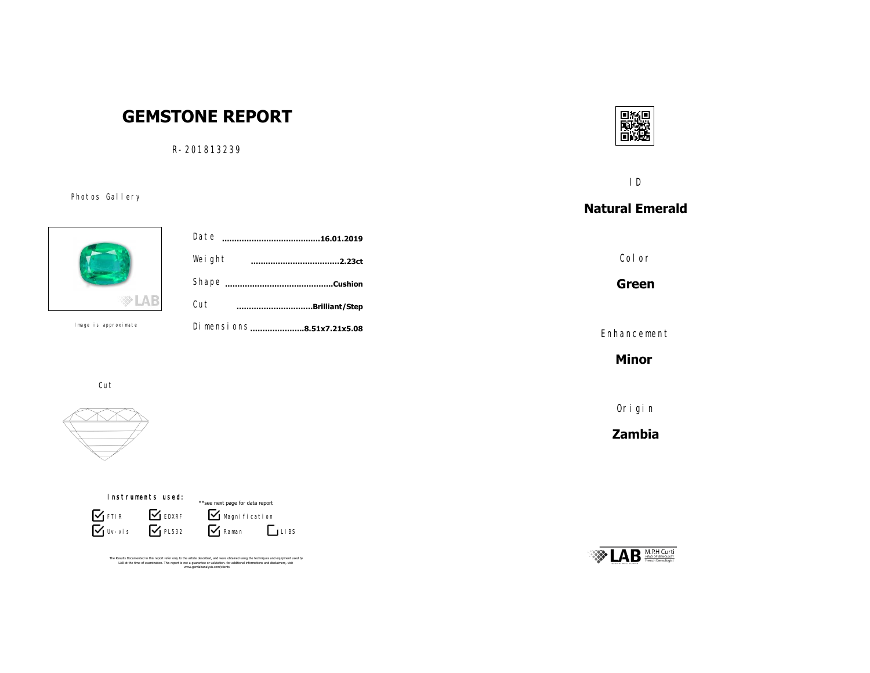# **GEMSTONE REPORT**

R-201813239

可轻信

ID

## **Natural Emerald**

Color

**Green**

Enhancement

**Minor** 

Origin

**Zambia**





Photos Gallery

|           | Date<br>.16.01.2019        |  |
|-----------|----------------------------|--|
|           | Weight<br>.2.23ct          |  |
|           | .Cushion                   |  |
|           | Cut<br>Brilliant/Step      |  |
| oroximate | Di mensi ons8.51x7.21x5.08 |  |
|           |                            |  |

Image is approximate





The Results Documented in this report refer only to the article described, and were obtained using the techniques and equipment used by<br>LAB at the time of examination. This report is not a guarantee or valutation. for addi

Cut